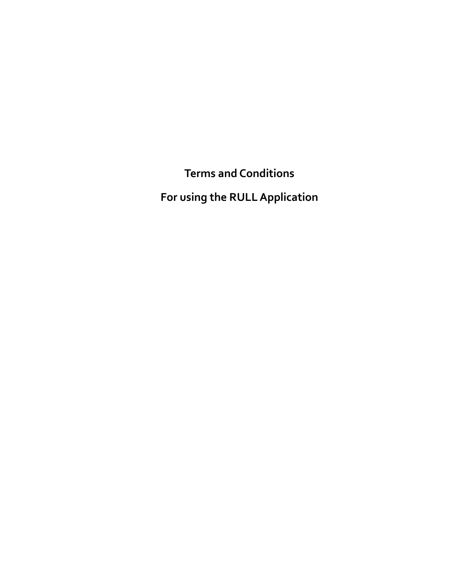**Terms and Conditions**

**For using the RULLApplication**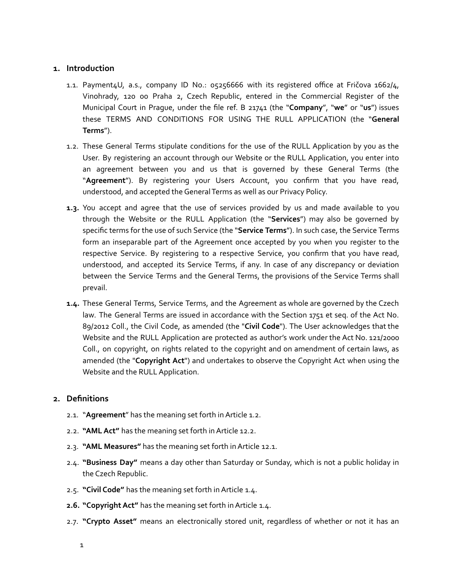## **1. Introduction**

- 1.1. Payment4U, a.s., company ID No.: 05256666 with its registered office at Fričova 1662/4, Vinohrady, 120 00 Praha 2, Czech Republic, entered in the Commercial Register of the Municipal Court in Prague, under the file ref. B 21741 (the "**Company**", "**we**" or "**us**") issues these TERMS AND CONDITIONS FOR USING THE RULL APPLICATION (the "**General Terms**").
- 1.2. These General Terms stipulate conditions for the use of the RULL Application by you as the User. By registering an account through our Website or the RULL Application, you enter into an agreement between you and us that is governed by these General Terms (the "**Agreement**"). By registering your Users Account, you confirm that you have read, understood, and accepted the General Terms as well as our Privacy Policy.
- **1.3.** You accept and agree that the use of services provided by us and made available to you through the Website or the RULL Application (the "**Services**") may also be governed by specific terms for the use of such Service (the "**Service Terms**"). In such case, the Service Terms form an inseparable part of the Agreement once accepted by you when you register to the respective Service. By registering to a respective Service, you confirm that you have read, understood, and accepted its Service Terms, if any. In case of any discrepancy or deviation between the Service Terms and the General Terms, the provisions of the Service Terms shall prevail.
- **1.4.** These General Terms, Service Terms, and the Agreement as whole are governed by the Czech law. The General Terms are issued in accordance with the Section 1751 et seq. of the Act No. 89/2012 Coll., the Civil Code, as amended (the "**Civil Code**"). The User acknowledges that the Website and the RULL Application are protected as author's work under the Act No. 121/2000 Coll., on copyright, on rights related to the copyright and on amendment of certain laws, as amended (the "**Copyright Act**") and undertakes to observe the Copyright Act when using the Website and the RULL Application.

# **2. Definitions**

- 2.1. "**Agreement**" has the meaning set forth inArticle 1.2.
- 2.2. **"AMLAct"** has the meaning set forth inArticle 12.2.
- 2.3. **"AML Measures"** has the meaning set forth inArticle 12.1.
- 2.4. **"Business Day"** means a day other than Saturday or Sunday, which is not a public holiday in the Czech Republic.
- 2.5. **"Civil Code"** has the meaning set forth inArticle 1.4.
- **2.6. "Copyright Act"** has the meaning set forth in Article 1.4.
- 2.7. **"Crypto Asset"** means an electronically stored unit, regardless of whether or not it has an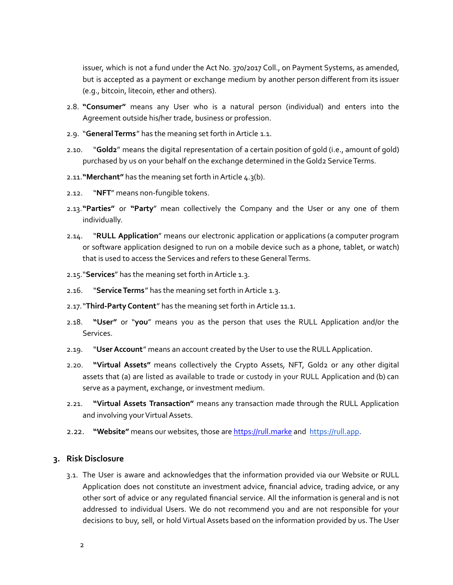issuer, which is not a fund under the Act No. 370/2017 Coll., on Payment Systems, as amended, but is accepted as a payment or exchange medium by another person different from its issuer (e.g., bitcoin, litecoin, ether and others).

- 2.8. **"Consumer"** means any User who is a natural person (individual) and enters into the Agreement outside his/her trade, business or profession.
- 2.9. "**GeneralTerms**" has the meaning set forth inArticle 1.1.
- 2.10. "**Gold2**" means the digital representation of a certain position of gold (i.e., amount of gold) purchased by us on your behalf on the exchange determined in the Gold2 Service Terms.
- 2.11.**"Merchant"** has the meaning set forth inArticle 4.3(b).
- 2.12. "**NFT**" means non-fungible tokens.
- 2.13.**"Parties"** or **"Party**" mean collectively the Company and the User or any one of them individually.
- 2.14. "**RULL Application**" means our electronic application or applications (a computer program or software application designed to run on a mobile device such as a phone, tablet, or watch) that is used to access the Services and refers to these General Terms.
- 2.15."**Services**" has the meaning set forth inArticle 1.3.
- 2.16. "**ServiceTerms**" has the meaning set forth inArticle 1.3.
- 2.17."**Third-Party Content**" has the meaning set forth in Article 11.1.
- 2.18. **"User"** or "**you**" means you as the person that uses the RULL Application and/or the Services.
- 2.19. "**UserAccount**" means an account created by the User to use the RULLApplication.
- 2.20. **"Virtual Assets"** means collectively the Crypto Assets, NFT, Gold2 or any other digital assets that (a) are listed as available to trade or custody in your RULL Application and (b) can serve as a payment, exchange, or investment medium.
- 2.21. **"Virtual Assets Transaction"** means any transaction made through the RULL Application and involving your Virtual Assets.
- 2.22. **"Website"** means our websites, those are [https://rull.marke](https://rull.market) and [https://rull.app.](https://rull.app)

### **3. Risk Disclosure**

3.1. The User is aware and acknowledges that the information provided via our Website or RULL Application does not constitute an investment advice, financial advice, trading advice, or any other sort of advice or any regulated financial service. All the information is general and is not addressed to individual Users. We do not recommend you and are not responsible for your decisions to buy, sell, or hold Virtual Assets based on the information provided by us. The User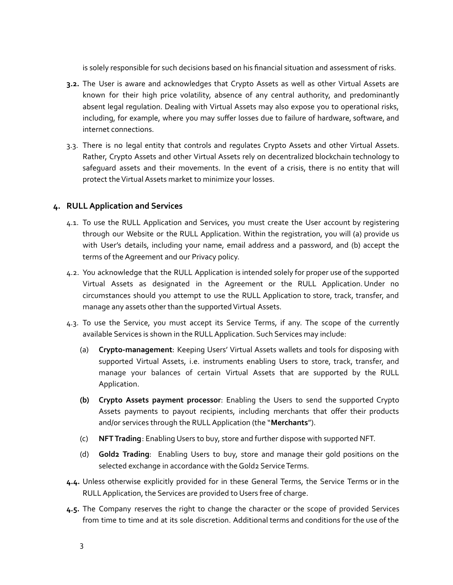is solely responsible for such decisions based on his financial situation and assessment of risks.

- **3.2.** The User is aware and acknowledges that Crypto Assets as well as other Virtual Assets are known for their high price volatility, absence of any central authority, and predominantly absent legal regulation. Dealing with Virtual Assets may also expose you to operational risks, including, for example, where you may suffer losses due to failure of hardware, software, and internet connections.
- 3.3. There is no legal entity that controls and regulates Crypto Assets and other Virtual Assets. Rather, Crypto Assets and other Virtual Assets rely on decentralized blockchain technology to safeguard assets and their movements. In the event of a crisis, there is no entity that will protect the Virtual Assets market to minimize your losses.

# **4. RULL Application and Services**

- 4.1. To use the RULL Application and Services, you must create the User account by registering through our Website or the RULL Application. Within the registration, you will (a) provide us with User's details, including your name, email address and a password, and (b) accept the terms of the Agreement and our Privacy policy.
- 4.2. You acknowledge that the RULL Application is intended solely for proper use of the supported Virtual Assets as designated in the Agreement or the RULL Application. Under no circumstances should you attempt to use the RULL Application to store, track, transfer, and manage any assets other than the supported Virtual Assets.
- 4.3. To use the Service, you must accept its Service Terms, if any. The scope of the currently available Services is shown in the RULL Application. Such Services may include:
	- (a) **Crypto-management**: Keeping Users' Virtual Assets wallets and tools for disposing with supported Virtual Assets, i.e. instruments enabling Users to store, track, transfer, and manage your balances of certain Virtual Assets that are supported by the RULL Application.
	- **(b) Crypto Assets payment processor**: Enabling the Users to send the supported Crypto Assets payments to payout recipients, including merchants that offer their products and/or services through the RULLApplication (the "**Merchants**").
	- (c) **NFTTrading**: Enabling Users to buy, store and further dispose with supported NFT.
	- (d) **Gold2 Trading**: Enabling Users to buy, store and manage their gold positions on the selected exchange in accordance with the Gold2 Service Terms.
- **4.4.** Unless otherwise explicitly provided for in these General Terms, the Service Terms or in the RULL Application, the Services are provided to Users free of charge.
- **4.5.** The Company reserves the right to change the character or the scope of provided Services from time to time and at its sole discretion. Additional terms and conditions for the use of the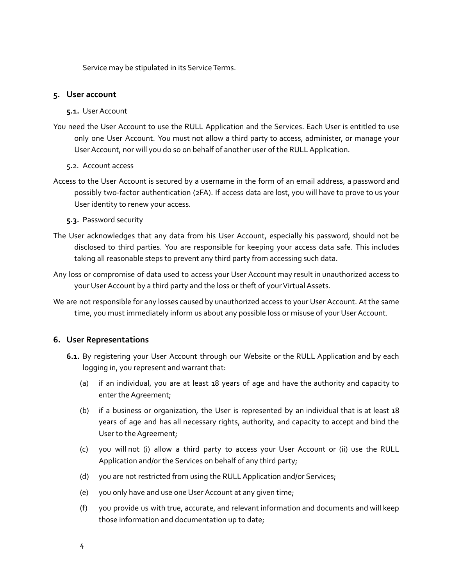Service may be stipulated in its Service Terms.

## **5. User account**

#### **5.1.** UserAccount

- You need the User Account to use the RULL Application and the Services. Each User is entitled to use only one User Account. You must not allow a third party to access, administer, or manage your UserAccount, nor will you do so on behalf of another user of the RULLApplication.
	- 5.2. Account access
- Access to the User Account is secured by a username in the form of an email address, a password and possibly two-factor authentication (2FA). If access data are lost, you will have to prove to us your User identity to renew your access.
	- **5.3.** Password security
- The User acknowledges that any data from his User Account, especially his password, should not be disclosed to third parties. You are responsible for keeping your access data safe. This includes taking all reasonable steps to prevent any third party from accessing such data.
- Any loss or compromise of data used to access your User Account may result in unauthorized access to your User Account by a third party and the loss or theft of your Virtual Assets.
- We are not responsible for any losses caused by unauthorized access to your User Account. At the same time, you must immediately inform us about any possible loss or misuse of your User Account.

# **6. User Representations**

- **6.1.** By registering your User Account through our Website or the RULL Application and by each logging in, you represent and warrant that:
	- (a) if an individual, you are at least 18 years of age and have the authority and capacity to enter the Agreement;
	- (b) if a business or organization, the User is represented by an individual that is at least 18 years of age and has all necessary rights, authority, and capacity to accept and bind the User to the Agreement;
	- (c) you will not (i) allow a third party to access your User Account or (ii) use the RULL Application and/or the Services on behalf of any third party;
	- (d) you are not restricted from using the RULLApplication and/or Services;
	- (e) you only have and use one UserAccount at any given time;
	- (f) you provide us with true, accurate, and relevant information and documents and will keep those information and documentation up to date;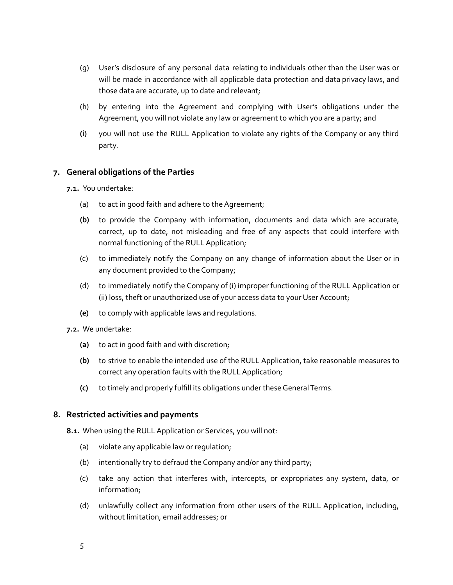- (g) User's disclosure of any personal data relating to individuals other than the User was or will be made in accordance with all applicable data protection and data privacy laws, and those data are accurate, up to date and relevant;
- (h) by entering into the Agreement and complying with User's obligations under the Agreement, you will not violate any law or agreement to which you are a party; and
- **(i)** you will not use the RULL Application to violate any rights of the Company or any third party.

# **7. General obligations of the Parties**

**7.1.** You undertake:

- (a) to act in good faith and adhere to the Agreement;
- **(b)** to provide the Company with information, documents and data which are accurate, correct, up to date, not misleading and free of any aspects that could interfere with normal functioning of the RULL Application;
- (c) to immediately notify the Company on any change of information about the User or in any document provided to the Company;
- (d) to immediately notify the Company of (i) improper functioning of the RULL Application or (ii) loss, theft or unauthorized use of your access data to your User Account;
- **(e)** to comply with applicable laws and regulations.
- **7.2.** We undertake:
	- **(a)** to act in good faith and with discretion;
	- **(b)** to strive to enable the intended use of the RULL Application, take reasonable measures to correct any operation faults with the RULL Application;
	- **(c)** to timely and properly fulfill its obligations under these General Terms.

# **8. Restricted activities and payments**

**8.1.** When using the RULLApplication or Services, you will not:

- (a) violate any applicable law or regulation;
- (b) intentionally try to defraud the Company and/or any third party;
- (c) take any action that interferes with, intercepts, or expropriates any system, data, or information;
- (d) unlawfully collect any information from other users of the RULL Application, including, without limitation, email addresses; or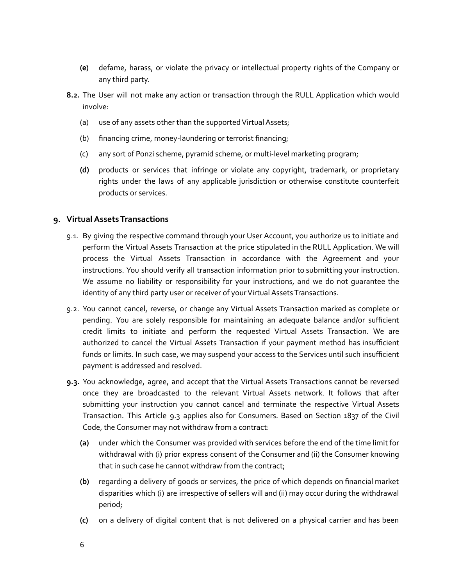- **(e)** defame, harass, or violate the privacy or intellectual property rights of the Company or any third party.
- **8.2.** The User will not make any action or transaction through the RULL Application which would involve:
	- (a) use of any assets other than the supported Virtual Assets;
	- (b) financing crime, money-laundering or terrorist financing;
	- (c) any sort of Ponzi scheme, pyramid scheme, or multi-level marketing program;
	- **(d)** products or services that infringe or violate any copyright, trademark, or proprietary rights under the laws of any applicable jurisdiction or otherwise constitute counterfeit products or services.

# **9. Virtual Assets Transactions**

- 9.1. By giving the respective command through your User Account, you authorize us to initiate and perform the Virtual Assets Transaction at the price stipulated in the RULL Application. We will process the Virtual Assets Transaction in accordance with the Agreement and your instructions. You should verify all transaction information prior to submitting your instruction. We assume no liability or responsibility for your instructions, and we do not guarantee the identity of any third party user or receiver of your Virtual Assets Transactions.
- 9.2. You cannot cancel, reverse, or change any Virtual Assets Transaction marked as complete or pending. You are solely responsible for maintaining an adequate balance and/or sufficient credit limits to initiate and perform the requested Virtual Assets Transaction. We are authorized to cancel the Virtual Assets Transaction if your payment method has insufficient funds or limits. In such case, we may suspend your access to the Services until such insufficient payment is addressed and resolved.
- **9.3.** You acknowledge, agree, and accept that the Virtual Assets Transactions cannot be reversed once they are broadcasted to the relevant Virtual Assets network. It follows that after submitting your instruction you cannot cancel and terminate the respective Virtual Assets Transaction. This Article 9.3 applies also for Consumers. Based on Section 1837 of the Civil Code, the Consumer may not withdraw from a contract:
	- **(a)** under which the Consumer was provided with services before the end of the time limit for withdrawal with (i) prior express consent of the Consumer and (ii) the Consumer knowing that in such case he cannot withdraw from the contract;
	- **(b)** regarding a delivery of goods or services, the price of which depends on financial market disparities which (i) are irrespective of sellers will and (ii) may occur during the withdrawal period;
	- **(c)** on a delivery of digital content that is not delivered on a physical carrier and has been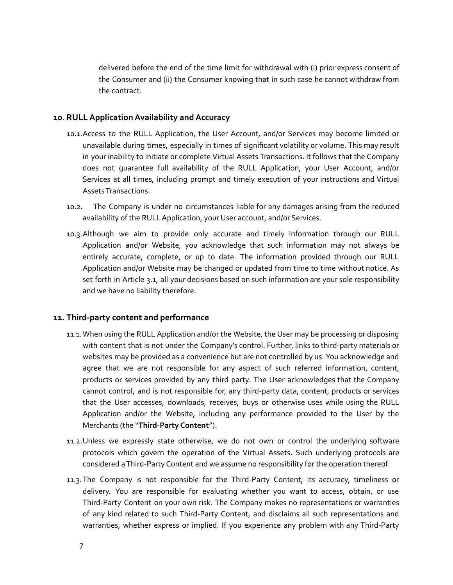delivered before the end of the time limit for withdrawal with (i) prior express consent of the Consumer and (ii) the Consumer knowing that in such case he cannot withdraw from the contract.

# **10. RULL Application Availability and Accuracy**

- 10.1.Access to the RULL Application, the User Account, and/or Services may become limited or unavailable during times, especially in times of significant volatility or volume. This may result in your inability to initiate or complete Virtual Assets Transactions. It follows that the Company does not guarantee full availability of the RULL Application, your User Account, and/or Services at all times, including prompt and timely execution of your instructions and Virtual AssetsTransactions.
- 10.2. The Company is under no circumstances liable for any damages arising from the reduced availability of the RULL Application, your User account, and/or Services.
- 10.3.Although we aim to provide only accurate and timely information through our RULL Application and/or Website, you acknowledge that such information may not always be entirely accurate, complete, or up to date. The information provided through our RULL Application and/or Website may be changed or updated from time to time without notice. As set forth in Article 3.1, all your decisions based on such information are your sole responsibility and we have no liability therefore.

# **11. Third-party content and performance**

- 11.1.When using the RULL Application and/or the Website, the User may be processing or disposing with content that is not under the Company's control. Further, links to third-party materials or websites may be provided as a convenience but are not controlled by us. You acknowledge and agree that we are not responsible for any aspect of such referred information, content, products or services provided by any third party. The User acknowledges that the Company cannot control, and is not responsible for, any third-party data, content, products or services that the User accesses, downloads, receives, buys or otherwise uses while using the RULL Application and/or the Website, including any performance provided to the User by the Merchants (the "**Third-Party Content**").
- 11.2.Unless we expressly state otherwise, we do not own or control the underlying software protocols which govern the operation of the Virtual Assets. Such underlying protocols are considered aThird-Party Content and we assume no responsibility for the operation thereof.
- 11.3.The Company is not responsible for the Third-Party Content, its accuracy, timeliness or delivery. You are responsible for evaluating whether you want to access, obtain, or use Third-Party Content on your own risk. The Company makes no representations or warranties of any kind related to such Third-Party Content, and disclaims all such representations and warranties, whether express or implied. If you experience any problem with any Third-Party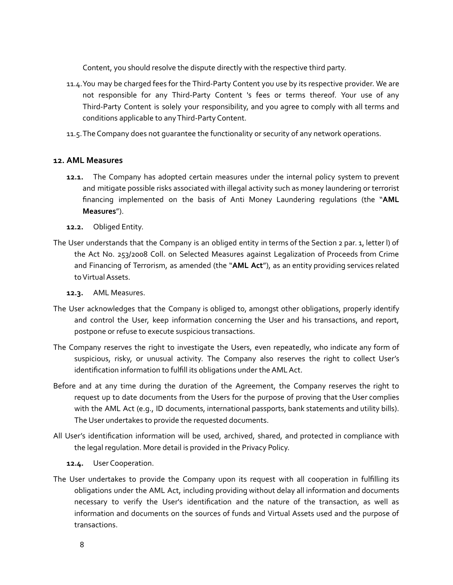Content, you should resolve the dispute directly with the respective third party.

- 11.4.You may be charged fees for the Third-Party Content you use by its respective provider. We are not responsible for any Third-Party Content 's fees or terms thereof. Your use of any Third-Party Content is solely your responsibility, and you agree to comply with all terms and conditions applicable to anyThird-Party Content.
- 11.5.The Company does not guarantee the functionality or security of any network operations.

# **12. AML Measures**

- **12.1.** The Company has adopted certain measures under the internal policy system to prevent and mitigate possible risks associated with illegal activity such as money laundering or terrorist financing implemented on the basis of Anti Money Laundering regulations (the "**AML Measures**").
- **12.2.** Obliged Entity.
- The User understands that the Company is an obliged entity in terms of the Section 2 par. 1, letter l) of the Act No. 253/2008 Coll. on Selected Measures against Legalization of Proceeds from Crime and Financing of Terrorism, as amended (the "**AML Act**"), as an entity providing services related to Virtual Assets.
	- **12.3.** AML Measures.
- The User acknowledges that the Company is obliged to, amongst other obligations, properly identify and control the User, keep information concerning the User and his transactions, and report, postpone or refuse to execute suspicious transactions.
- The Company reserves the right to investigate the Users, even repeatedly, who indicate any form of suspicious, risky, or unusual activity. The Company also reserves the right to collect User's identification information to fulfill its obligations under the AML Act.
- Before and at any time during the duration of the Agreement, the Company reserves the right to request up to date documents from the Users for the purpose of proving that the User complies with the AML Act (e.g., ID documents, international passports, bank statements and utility bills). The User undertakes to provide the requested documents.
- All User's identification information will be used, archived, shared, and protected in compliance with the legal regulation. More detail is provided in the Privacy Policy.
	- **12.4.** User Cooperation.
- The User undertakes to provide the Company upon its request with all cooperation in fulfilling its obligations under the AML Act, including providing without delay all information and documents necessary to verify the User's identification and the nature of the transaction, as well as information and documents on the sources of funds and Virtual Assets used and the purpose of transactions.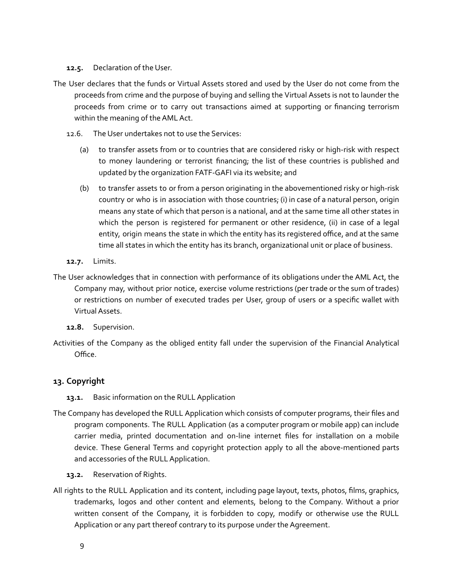## **12.5.** Declaration of the User.

- The User declares that the funds or Virtual Assets stored and used by the User do not come from the proceeds from crime and the purpose of buying and selling the Virtual Assets is not to launder the proceeds from crime or to carry out transactions aimed at supporting or financing terrorism within the meaning of the AML Act.
	- 12.6. The User undertakes not to use the Services:
		- (a) to transfer assets from or to countries that are considered risky or high-risk with respect to money laundering or terrorist financing; the list of these countries is published and updated by the organization FATF-GAFI via its website; and
		- (b) to transfer assets to or from a person originating in the abovementioned risky or high-risk country or who is in association with those countries; (i) in case of a natural person, origin means any state of which that person is a national, and at the same time all other states in which the person is registered for permanent or other residence, (ii) in case of a legal entity, origin means the state in which the entity has its registered office, and at the same time all states in which the entity has its branch, organizational unit or place of business.
	- **12.7.** Limits.
- The User acknowledges that in connection with performance of its obligations under the AML Act, the Company may, without prior notice, exercise volume restrictions (per trade or the sum of trades) or restrictions on number of executed trades per User, group of users or a specific wallet with VirtualAssets.
	- **12.8.** Supervision.
- Activities of the Company as the obliged entity fall under the supervision of the Financial Analytical Office.

# **13. Copyright**

- 13.1. Basic information on the RULL Application
- The Company has developed the RULL Application which consists of computer programs, their files and program components. The RULL Application (as a computer program or mobile app) can include carrier media, printed documentation and on-line internet files for installation on a mobile device. These General Terms and copyright protection apply to all the above-mentioned parts and accessories of the RULL Application.
	- **13.2.** Reservation of Rights.
- All rights to the RULL Application and its content, including page layout, texts, photos, films, graphics, trademarks, logos and other content and elements, belong to the Company. Without a prior written consent of the Company, it is forbidden to copy, modify or otherwise use the RULL Application or any part thereof contrary to its purpose under the Agreement.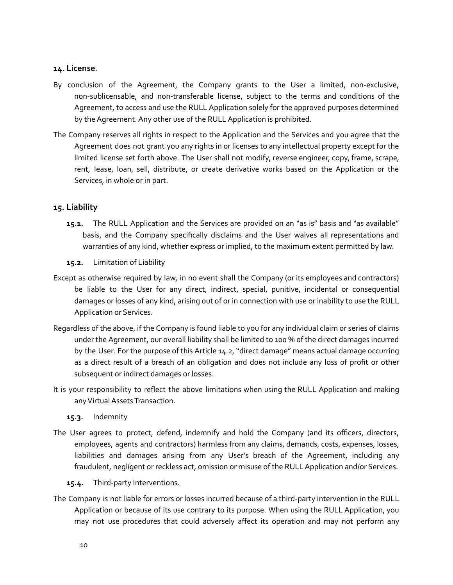## **14. License**.

- By conclusion of the Agreement, the Company grants to the User a limited, non-exclusive, non-sublicensable, and non-transferable license, subject to the terms and conditions of the Agreement, to access and use the RULL Application solely for the approved purposes determined by the Agreement. Any other use of the RULL Application is prohibited.
- The Company reserves all rights in respect to the Application and the Services and you agree that the Agreement does not grant you any rights in or licenses to any intellectual property except for the limited license set forth above. The User shall not modify, reverse engineer, copy, frame, scrape, rent, lease, loan, sell, distribute, or create derivative works based on the Application or the Services, in whole or in part.

# **15. Liability**

- **15.1.** The RULL Application and the Services are provided on an "as is" basis and "as available" basis, and the Company specifically disclaims and the User waives all representations and warranties of any kind, whether express or implied, to the maximum extent permitted by law.
- **15.2.** Limitation of Liability
- Except as otherwise required by law, in no event shall the Company (or its employees and contractors) be liable to the User for any direct, indirect, special, punitive, incidental or consequential damages or losses of any kind, arising out of or in connection with use or inability to use the RULL Application or Services.
- Regardless of the above, if the Company is found liable to you for any individual claim or series of claims under the Agreement, our overall liability shall be limited to 100 % of the direct damages incurred by the User. For the purpose of this Article 14.2, "direct damage" means actual damage occurring as a direct result of a breach of an obligation and does not include any loss of profit or other subsequent or indirect damages or losses.
- It is your responsibility to reflect the above limitations when using the RULL Application and making any Virtual Assets Transaction.
	- **15.3.** Indemnity
- The User agrees to protect, defend, indemnify and hold the Company (and its officers, directors, employees, agents and contractors) harmless from any claims, demands, costs, expenses, losses, liabilities and damages arising from any User's breach of the Agreement, including any fraudulent, negligent or reckless act, omission or misuse of the RULL Application and/or Services.
	- **15.4.** Third-party Interventions.
- The Company is not liable for errors or losses incurred because of a third-party intervention in the RULL Application or because of its use contrary to its purpose. When using the RULL Application, you may not use procedures that could adversely affect its operation and may not perform any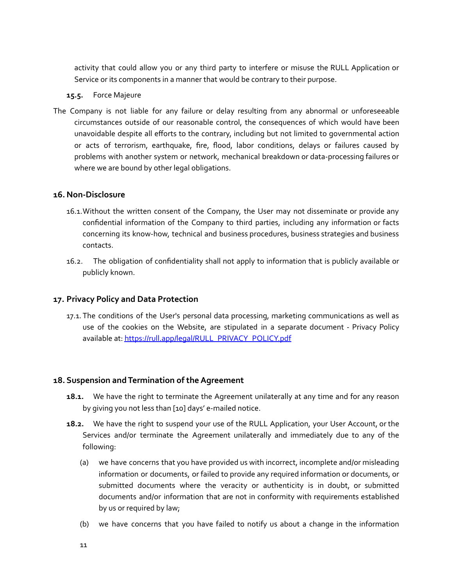activity that could allow you or any third party to interfere or misuse the RULL Application or Service or its components in a manner that would be contrary to their purpose.

## **15.5.** Force Majeure

The Company is not liable for any failure or delay resulting from any abnormal or unforeseeable circumstances outside of our reasonable control, the consequences of which would have been unavoidable despite all efforts to the contrary, including but not limited to governmental action or acts of terrorism, earthquake, fire, flood, labor conditions, delays or failures caused by problems with another system or network, mechanical breakdown or data-processing failures or where we are bound by other legal obligations.

# **16. Non-Disclosure**

- 16.1.Without the written consent of the Company, the User may not disseminate or provide any confidential information of the Company to third parties, including any information or facts concerning its know-how, technical and business procedures, business strategies and business contacts.
- 16.2. The obligation of confidentiality shall not apply to information that is publicly available or publicly known.

# **17. Privacy Policy and Data Protection**

17.1. The conditions of the User's personal data processing, marketing communications as well as use of the cookies on the Website, are stipulated in a separate document - Privacy Policy available at: [https://rull.app/legal/RULL\\_PRIVACY\\_POLICY.pdf](https://rull.app/legal/RULL_PRIVACY_POLICY.pdf)

# **18. Suspension and Termination of the Agreement**

- **18.1.** We have the right to terminate the Agreement unilaterally at any time and for any reason by giving you not less than [10] days' e-mailed notice.
- **18.2.** We have the right to suspend your use of the RULL Application, your User Account, or the Services and/or terminate the Agreement unilaterally and immediately due to any of the following:
	- (a) we have concerns that you have provided us with incorrect, incomplete and/or misleading information or documents, or failed to provide any required information or documents, or submitted documents where the veracity or authenticity is in doubt, or submitted documents and/or information that are not in conformity with requirements established by us or required by law;
	- (b) we have concerns that you have failed to notify us about a change in the information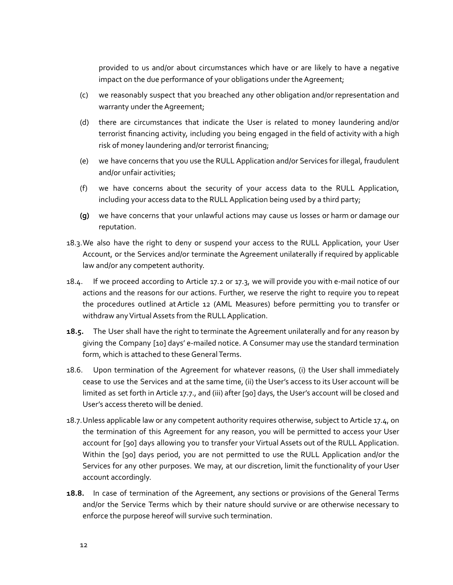provided to us and/or about circumstances which have or are likely to have a negative impact on the due performance of your obligations under the Agreement;

- (c) we reasonably suspect that you breached any other obligation and/or representation and warranty under the Agreement;
- (d) there are circumstances that indicate the User is related to money laundering and/or terrorist financing activity, including you being engaged in the field of activity with a high risk of money laundering and/or terrorist financing;
- (e) we have concerns that you use the RULL Application and/or Services for illegal, fraudulent and/or unfair activities;
- (f) we have concerns about the security of your access data to the RULL Application, including your access data to the RULL Application being used by a third party;
- **(g)** we have concerns that your unlawful actions may cause us losses or harm or damage our reputation.
- 18.3.We also have the right to deny or suspend your access to the RULL Application, your User Account, or the Services and/or terminate the Agreement unilaterally if required by applicable law and/or any competent authority.
- 18.4. If we proceed according to Article 17.2 or 17.3, we will provide you with e-mail notice of our actions and the reasons for our actions. Further, we reserve the right to require you to repeat the procedures outlined atArticle 12 (AML Measures) before permitting you to transfer or withdraw any Virtual Assets from the RULL Application.
- **18.5.** The User shall have the right to terminate the Agreement unilaterally and for any reason by giving the Company [10] days' e-mailed notice. A Consumer may use the standard termination form, which is attached to these General Terms.
- 18.6. Upon termination of the Agreement for whatever reasons, (i) the User shall immediately cease to use the Services and at the same time, (ii) the User's access to its User account will be limited as set forth in Article 17.7., and (iii) after [90] days, the User's account will be closed and User's access thereto will be denied.
- 18.7.Unless applicable law or any competent authority requires otherwise, subject to Article 17.4, on the termination of this Agreement for any reason, you will be permitted to access your User account for [90] days allowing you to transfer your Virtual Assets out of the RULL Application. Within the [90] days period, you are not permitted to use the RULL Application and/or the Services for any other purposes. We may, at our discretion, limit the functionality of your User account accordingly.
- **18.8.** In case of termination of the Agreement, any sections or provisions of the General Terms and/or the Service Terms which by their nature should survive or are otherwise necessary to enforce the purpose hereof will survive such termination.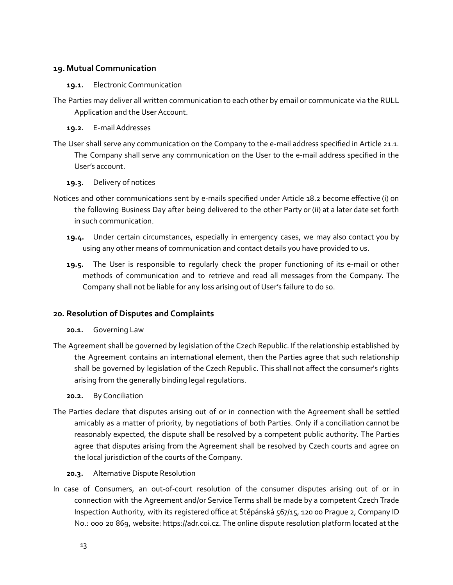# **19. Mutual Communication**

#### **19.1.** Electronic Communication

- The Parties may deliver all written communication to each other by email or communicate via the RULL Application and the User Account.
	- **19.2.** E-mailAddresses
- The User shall serve any communication on the Company to the e-mail address specified in Article 21.1. The Company shall serve any communication on the User to the e-mail address specified in the User's account.
	- **19.3.** Delivery of notices
- Notices and other communications sent by e-mails specified under Article 18.2 become effective (i) on the following Business Day after being delivered to the other Party or (ii) at a later date set forth in such communication.
	- **19.4.** Under certain circumstances, especially in emergency cases, we may also contact you by using any other means of communication and contact details you have provided to us.
	- **19.5.** The User is responsible to regularly check the proper functioning of its e-mail or other methods of communication and to retrieve and read all messages from the Company. The Company shall not be liable for any loss arising out of User's failure to do so.

# **20. Resolution of Disputes and Complaints**

- **20.1.** Governing Law
- The Agreement shall be governed by legislation of the Czech Republic. If the relationship established by the Agreement contains an international element, then the Parties agree that such relationship shall be governed by legislation of the Czech Republic. This shall not affect the consumer's rights arising from the generally binding legal regulations.
	- **20.2.** By Conciliation
- The Parties declare that disputes arising out of or in connection with the Agreement shall be settled amicably as a matter of priority, by negotiations of both Parties. Only if a conciliation cannot be reasonably expected, the dispute shall be resolved by a competent public authority. The Parties agree that disputes arising from the Agreement shall be resolved by Czech courts and agree on the local jurisdiction of the courts of the Company.
	- **20.3.** Alternative Dispute Resolution
- In case of Consumers, an out-of-court resolution of the consumer disputes arising out of or in connection with the Agreement and/or Service Terms shall be made by a competent Czech Trade Inspection Authority, with its registered office at Štěpánská 567/15, 120 00 Prague 2, Company ID No.: 000 20 869, website: https://adr.coi.cz. The online dispute resolution platform located at the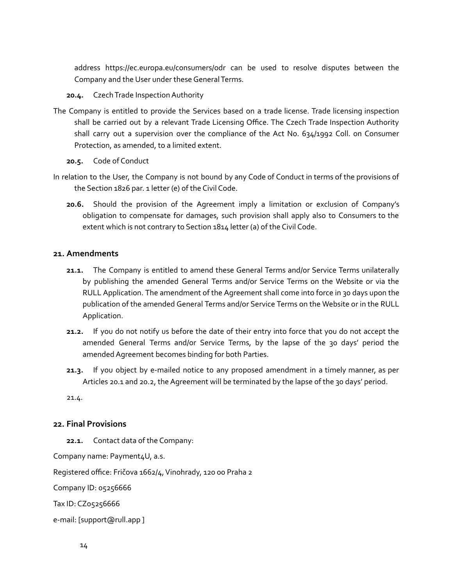address https://ec.europa.eu/consumers/odr can be used to resolve disputes between the Company and the User under these General Terms.

# 20.4. Czech Trade Inspection Authority

- The Company is entitled to provide the Services based on a trade license. Trade licensing inspection shall be carried out by a relevant Trade Licensing Office. The Czech Trade Inspection Authority shall carry out a supervision over the compliance of the Act No. 634/1992 Coll. on Consumer Protection, as amended, to a limited extent.
	- **20.5.** Code of Conduct
- In relation to the User, the Company is not bound by any Code of Conduct in terms of the provisions of the Section 1826 par. 1 letter (e) of the Civil Code.
	- **20.6.** Should the provision of the Agreement imply a limitation or exclusion of Company's obligation to compensate for damages, such provision shall apply also to Consumers to the extent which is not contrary to Section 1814 letter (a) of the Civil Code.

## **21. Amendments**

- **21.1.** The Company is entitled to amend these General Terms and/or Service Terms unilaterally by publishing the amended General Terms and/or Service Terms on the Website or via the RULL Application. The amendment of the Agreement shall come into force in 30 days upon the publication of the amended General Terms and/or Service Terms on the Website or in the RULL Application.
- **21.2.** If you do not notify us before the date of their entry into force that you do not accept the amended General Terms and/or Service Terms, by the lapse of the 30 days' period the amended Agreement becomes binding for both Parties.
- **21.3.** If you object by e-mailed notice to any proposed amendment in a timely manner, as per Articles 20.1 and 20.2, the Agreement will be terminated by the lapse of the 30 days' period.

21.4.

# **22. Final Provisions**

**22.1.** Contact data of the Company:

Company name: Payment4U, a.s.

Registered office: Fričova 1662/4, Vinohrady, 120 00 Praha 2

Company ID: 05256666

Tax ID: CZ05256666

e-mail: [support@rull.app ]